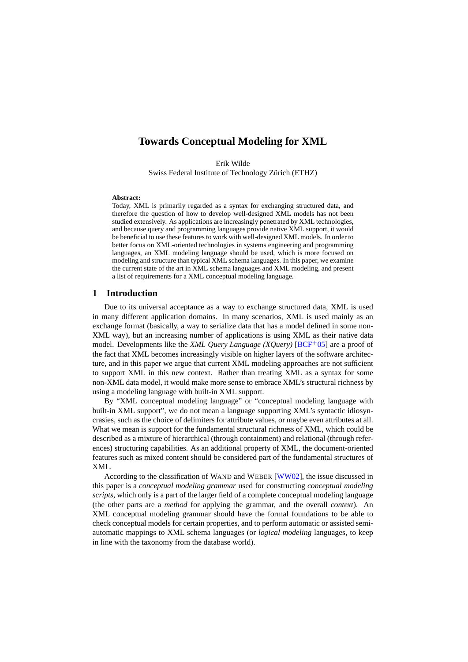# **Towards Conceptual Modeling for XML**

Erik Wilde

Swiss Federal Institute of Technology Zürich (ETHZ)

#### **Abstract:**

Today, XML is primarily regarded as a syntax for exchanging structured data, and therefore the question of how to develop well-designed XML models has not been studied extensively. As applications are increasingly penetrated by XML technologies, and because query and programming languages provide native XML support, it would be beneficial to use these features to work with well-designed XML models. In order to better focus on XML-oriented technologies in systems engineering and programming languages, an XML modeling language should be used, which is more focused on modeling and structure than typical XML schema languages. In this paper, we examine the current state of the art in XML schema languages and XML modeling, and present a list of requirements for a XML conceptual modeling language.

# **1 Introduction**

Due to its universal acceptance as a way to exchange structured data, XML is used in many different application domains. In many scenarios, XML is used mainly as an exchange format (basically, a way to serialize data that has a model defined in some non-XML way), but an increasing number of applications is using XML as their native data model. Developments like the *XML Query Language (XQuery)* [\[BCF](#page-10-0)<sup>+</sup>05] are a proof of the fact that XML becomes increasingly visible on higher layers of the software architecture, and in this paper we argue that current XML modeling approaches are not sufficient to support XML in this new context. Rather than treating XML as a syntax for some non-XML data model, it would make more sense to embrace XML's structural richness by using a modeling language with built-in XML support.

By "XML conceptual modeling language" or "conceptual modeling language with built-in XML support", we do not mean a language supporting XML's syntactic idiosyncrasies, such as the choice of delimiters for attribute values, or maybe even attributes at all. What we mean is support for the fundamental structural richness of XML, which could be described as a mixture of hierarchical (through containment) and relational (through references) structuring capabilities. As an additional property of XML, the document-oriented features such as mixed content should be considered part of the fundamental structures of XML.

According to the classification of WAND and WEBER [\[WW02\]](#page-11-0), the issue discussed in this paper is a *conceptual modeling grammar* used for constructing *conceptual modeling scripts*, which only is a part of the larger field of a complete conceptual modeling language (the other parts are a *method* for applying the grammar, and the overall *context*). An XML conceptual modeling grammar should have the formal foundations to be able to check conceptual models for certain properties, and to perform automatic or assisted semiautomatic mappings to XML schema languages (or *logical modeling* languages, to keep in line with the taxonomy from the database world).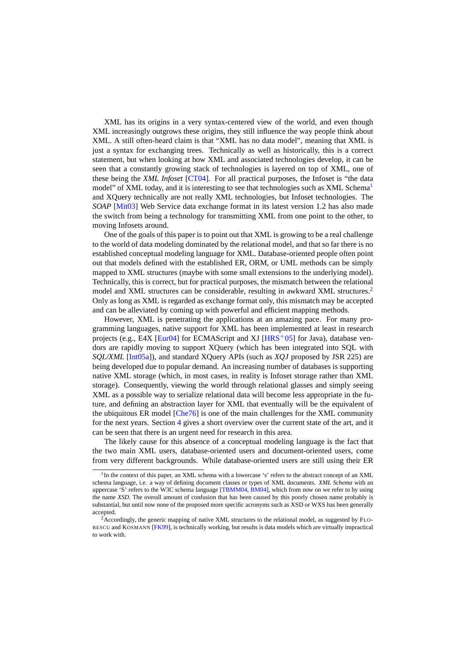XML has its origins in a very syntax-centered view of the world, and even though XML increasingly outgrows these origins, they still influence the way people think about XML. A still often-heard claim is that "XML has no data model", meaning that XML is just a syntax for exchanging trees. Technically as well as historically, this is a correct statement, but when looking at how XML and associated technologies develop, it can be seen that a constantly growing stack of technologies is layered on top of XML, one of these being the *XML Infoset* [\[CT04\]](#page-10-0). For all practical purposes, the Infoset is "the data model" of XML today, and it is interesting to see that technologies such as XML Schema<sup>1</sup> and XQuery technically are not really XML technologies, but Infoset technologies. The *SOAP* [\[Mit03\]](#page-11-0) Web Service data exchange format in its latest version 1.2 has also made the switch from being a technology for transmitting XML from one point to the other, to moving Infosets around.

One of the goals of this paper is to point out that XML is growing to be a real challenge to the world of data modeling dominated by the relational model, and that so far there is no established conceptual modeling language for XML. Database-oriented people often point out that models defined with the established ER, ORM, or UML methods can be simply mapped to XML structures (maybe with some small extensions to the underlying model). Technically, this is correct, but for practical purposes, the mismatch between the relational model and XML structures can be considerable, resulting in awkward XML structures.<sup>2</sup> Only as long as XML is regarded as exchange format only, this mismatch may be accepted and can be alleviated by coming up with powerful and efficient mapping methods.

However, XML is penetrating the applications at an amazing pace. For many programming languages, native support for XML has been implemented at least in research projects (e.g., E4X [\[Eur04\]](#page-10-0) for ECMAScript and XJ [\[HRS](#page-11-0)+05] for Java), database vendors are rapidly moving to support XQuery (which has been integrated into SQL with *SQL/XML* [\[Int05a\]](#page-11-0)), and standard XQuery APIs (such as *XQJ* proposed by JSR 225) are being developed due to popular demand. An increasing number of databases is supporting native XML storage (which, in most cases, in reality is Infoset storage rather than XML storage). Consequently, viewing the world through relational glasses and simply seeing XML as a possible way to serialize relational data will become less appropriate in the future, and defining an abstraction layer for XML that eventually will be the equivalent of the ubiquitous ER model [\[Che76\]](#page-10-0) is one of the main challenges for the XML community for the next years. Section [4](#page-7-0) gives a short overview over the current state of the art, and it can be seen that there is an urgent need for research in this area.

The likely cause for this absence of a conceptual modeling language is the fact that the two main XML users, database-oriented users and document-oriented users, come from very different backgrounds. While database-oriented users are still using their ER

<sup>&</sup>lt;sup>1</sup>In the context of this paper, an XML schema with a lowercase 's' refers to the abstract concept of an XML schema language, i.e. a way of defining document classes or types of XML documents. *XML Schema* with an uppercase 'S' refers to the W3C schema language [\[TBMM04,](#page-11-0) [BM04\]](#page-10-0), which from now on we refer to by using the name *XSD*. The overall amount of confusion that has been caused by this poorly chosen name probably is substantial, but until now none of the proposed more specific acronyms such as XSD or WXS has been generally accepted.

<sup>&</sup>lt;sup>2</sup> Accordingly, the generic mapping of native XML structures to the relational model, as suggested by FLO-RESCU and KOSMANN [\[FK99\]](#page-10-0), is technically working, but results is data models which are virtually impractical to work with.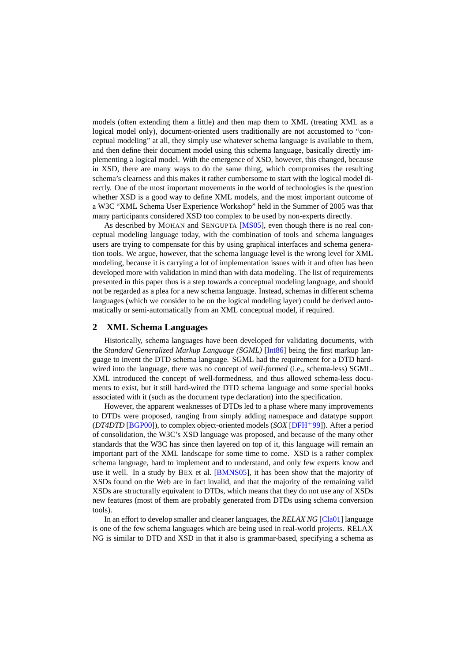models (often extending them a little) and then map them to XML (treating XML as a logical model only), document-oriented users traditionally are not accustomed to "conceptual modeling" at all, they simply use whatever schema language is available to them, and then define their document model using this schema language, basically directly implementing a logical model. With the emergence of XSD, however, this changed, because in XSD, there are many ways to do the same thing, which compromises the resulting schema's clearness and this makes it rather cumbersome to start with the logical model directly. One of the most important movements in the world of technologies is the question whether XSD is a good way to define XML models, and the most important outcome of a W3C "XML Schema User Experience Workshop" held in the Summer of 2005 was that many participants considered XSD too complex to be used by non-experts directly.

As described by MOHAN and SENGUPTA [\[MS05\]](#page-11-0), even though there is no real conceptual modeling language today, with the combination of tools and schema languages users are trying to compensate for this by using graphical interfaces and schema generation tools. We argue, however, that the schema language level is the wrong level for XML modeling, because it is carrying a lot of implementation issues with it and often has been developed more with validation in mind than with data modeling. The list of requirements presented in this paper thus is a step towards a conceptual modeling language, and should not be regarded as a plea for a new schema language. Instead, schemas in different schema languages (which we consider to be on the logical modeling layer) could be derived automatically or semi-automatically from an XML conceptual model, if required.

# **2 XML Schema Languages**

Historically, schema languages have been developed for validating documents, with the *Standard Generalized Markup Language (SGML)* [\[Int86\]](#page-11-0) being the first markup language to invent the DTD schema language. SGML had the requirement for a DTD hardwired into the language, there was no concept of *well-formed* (i.e., schema-less) SGML. XML introduced the concept of well-formedness, and thus allowed schema-less documents to exist, but it still hard-wired the DTD schema language and some special hooks associated with it (such as the document type declaration) into the specification.

However, the apparent weaknesses of DTDs led to a phase where many improvements to DTDs were proposed, ranging from simply adding namespace and datatype support (*DT4DTD* [\[BGP00\]](#page-10-0)), to complex object-oriented models (*SOX* [\[DFH](#page-10-0)<sup>+</sup>99]). After a period of consolidation, the W3C's XSD language was proposed, and because of the many other standards that the W3C has since then layered on top of it, this language will remain an important part of the XML landscape for some time to come. XSD is a rather complex schema language, hard to implement and to understand, and only few experts know and use it well. In a study by BEX et al. [\[BMNS05\]](#page-10-0), it has been show that the majority of XSDs found on the Web are in fact invalid, and that the majority of the remaining valid XSDs are structurally equivalent to DTDs, which means that they do not use any of XSDs new features (most of them are probably generated from DTDs using schema conversion tools).

In an effort to develop smaller and cleaner languages, the *RELAX NG* [\[Cla01\]](#page-10-0) language is one of the few schema languages which are being used in real-world projects. RELAX NG is similar to DTD and XSD in that it also is grammar-based, specifying a schema as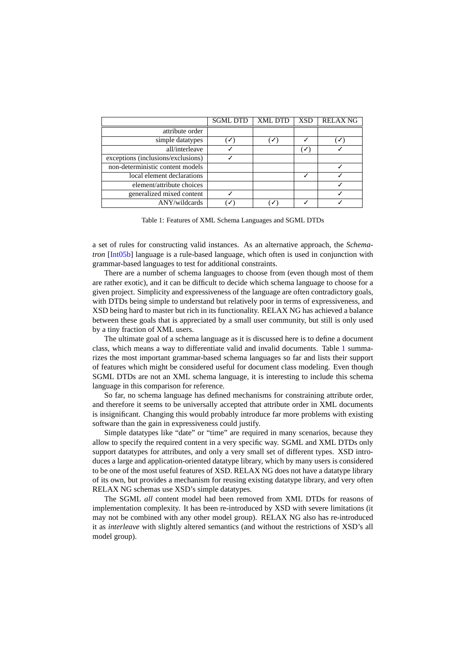|                                    | <b>SGML DTD</b> | <b>XML DTD</b> | <b>XSD</b>     | <b>RELAX NG</b> |
|------------------------------------|-----------------|----------------|----------------|-----------------|
| attribute order                    |                 |                |                |                 |
| simple datatypes                   |                 | ✓              |                | ✓               |
| all/interleave                     |                 |                | $(\checkmark)$ |                 |
| exceptions (inclusions/exclusions) |                 |                |                |                 |
| non-deterministic content models   |                 |                |                |                 |
| local element declarations         |                 |                |                |                 |
| element/attribute choices          |                 |                |                |                 |
| generalized mixed content          |                 |                |                |                 |
| ANY/wildcards                      |                 |                |                |                 |

Table 1: Features of XML Schema Languages and SGML DTDs

a set of rules for constructing valid instances. As an alternative approach, the *Schematron* [\[Int05b\]](#page-11-0) language is a rule-based language, which often is used in conjunction with grammar-based languages to test for additional constraints.

There are a number of schema languages to choose from (even though most of them are rather exotic), and it can be difficult to decide which schema language to choose for a given project. Simplicity and expressiveness of the language are often contradictory goals, with DTDs being simple to understand but relatively poor in terms of expressiveness, and XSD being hard to master but rich in its functionality. RELAX NG has achieved a balance between these goals that is appreciated by a small user community, but still is only used by a tiny fraction of XML users.

The ultimate goal of a schema language as it is discussed here is to define a document class, which means a way to differentiate valid and invalid documents. Table 1 summarizes the most important grammar-based schema languages so far and lists their support of features which might be considered useful for document class modeling. Even though SGML DTDs are not an XML schema language, it is interesting to include this schema language in this comparison for reference.

So far, no schema language has defined mechanisms for constraining attribute order, and therefore it seems to be universally accepted that attribute order in XML documents is insignificant. Changing this would probably introduce far more problems with existing software than the gain in expressiveness could justify.

Simple datatypes like "date" or "time" are required in many scenarios, because they allow to specify the required content in a very specific way. SGML and XML DTDs only support datatypes for attributes, and only a very small set of different types. XSD introduces a large and application-oriented datatype library, which by many users is considered to be one of the most useful features of XSD. RELAX NG does not have a datatype library of its own, but provides a mechanism for reusing existing datatype library, and very often RELAX NG schemas use XSD's simple datatypes.

The SGML *all* content model had been removed from XML DTDs for reasons of implementation complexity. It has been re-introduced by XSD with severe limitations (it may not be combined with any other model group). RELAX NG also has re-introduced it as *interleave* with slightly altered semantics (and without the restrictions of XSD's all model group).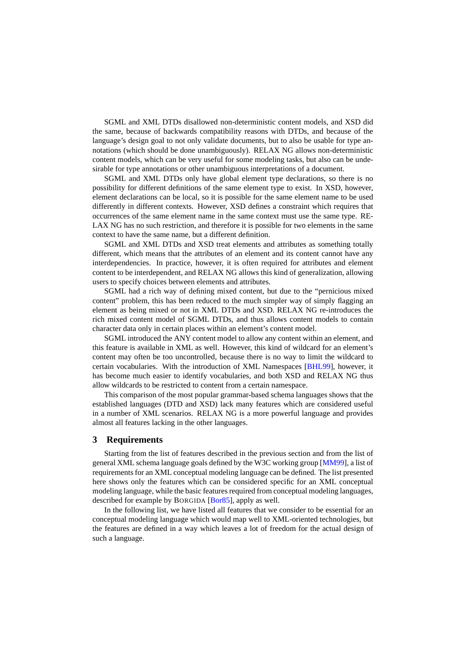<span id="page-4-0"></span>SGML and XML DTDs disallowed non-deterministic content models, and XSD did the same, because of backwards compatibility reasons with DTDs, and because of the language's design goal to not only validate documents, but to also be usable for type annotations (which should be done unambiguously). RELAX NG allows non-deterministic content models, which can be very useful for some modeling tasks, but also can be undesirable for type annotations or other unambiguous interpretations of a document.

SGML and XML DTDs only have global element type declarations, so there is no possibility for different definitions of the same element type to exist. In XSD, however, element declarations can be local, so it is possible for the same element name to be used differently in different contexts. However, XSD defines a constraint which requires that occurrences of the same element name in the same context must use the same type. RE-LAX NG has no such restriction, and therefore it is possible for two elements in the same context to have the same name, but a different definition.

SGML and XML DTDs and XSD treat elements and attributes as something totally different, which means that the attributes of an element and its content cannot have any interdependencies. In practice, however, it is often required for attributes and element content to be interdependent, and RELAX NG allows this kind of generalization, allowing users to specify choices between elements and attributes.

SGML had a rich way of defining mixed content, but due to the "pernicious mixed content" problem, this has been reduced to the much simpler way of simply flagging an element as being mixed or not in XML DTDs and XSD. RELAX NG re-introduces the rich mixed content model of SGML DTDs, and thus allows content models to contain character data only in certain places within an element's content model.

SGML introduced the ANY content model to allow any content within an element, and this feature is available in XML as well. However, this kind of wildcard for an element's content may often be too uncontrolled, because there is no way to limit the wildcard to certain vocabularies. With the introduction of XML Namespaces [\[BHL99\]](#page-10-0), however, it has become much easier to identify vocabularies, and both XSD and RELAX NG thus allow wildcards to be restricted to content from a certain namespace.

This comparison of the most popular grammar-based schema languages shows that the established languages (DTD and XSD) lack many features which are considered useful in a number of XML scenarios. RELAX NG is a more powerful language and provides almost all features lacking in the other languages.

# **3 Requirements**

Starting from the list of features described in the previous section and from the list of general XML schema language goals defined by the W3C working group [\[MM99\]](#page-11-0), a list of requirements for an XML conceptual modeling language can be defined. The list presented here shows only the features which can be considered specific for an XML conceptual modeling language, while the basic features required from conceptual modeling languages, described for example by BORGIDA [\[Bor85\]](#page-10-0), apply as well.

In the following list, we have listed all features that we consider to be essential for an conceptual modeling language which would map well to XML-oriented technologies, but the features are defined in a way which leaves a lot of freedom for the actual design of such a language.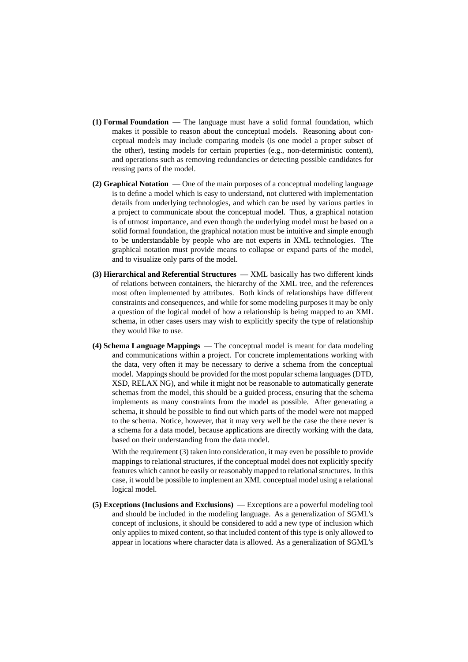- **(1) Formal Foundation** The language must have a solid formal foundation, which makes it possible to reason about the conceptual models. Reasoning about conceptual models may include comparing models (is one model a proper subset of the other), testing models for certain properties (e.g., non-deterministic content), and operations such as removing redundancies or detecting possible candidates for reusing parts of the model.
- **(2) Graphical Notation** One of the main purposes of a conceptual modeling language is to define a model which is easy to understand, not cluttered with implementation details from underlying technologies, and which can be used by various parties in a project to communicate about the conceptual model. Thus, a graphical notation is of utmost importance, and even though the underlying model must be based on a solid formal foundation, the graphical notation must be intuitive and simple enough to be understandable by people who are not experts in XML technologies. The graphical notation must provide means to collapse or expand parts of the model, and to visualize only parts of the model.
- **(3) Hierarchical and Referential Structures** XML basically has two different kinds of relations between containers, the hierarchy of the XML tree, and the references most often implemented by attributes. Both kinds of relationships have different constraints and consequences, and while for some modeling purposes it may be only a question of the logical model of how a relationship is being mapped to an XML schema, in other cases users may wish to explicitly specify the type of relationship they would like to use.
- **(4) Schema Language Mappings** The conceptual model is meant for data modeling and communications within a project. For concrete implementations working with the data, very often it may be necessary to derive a schema from the conceptual model. Mappings should be provided for the most popular schema languages (DTD, XSD, RELAX NG), and while it might not be reasonable to automatically generate schemas from the model, this should be a guided process, ensuring that the schema implements as many constraints from the model as possible. After generating a schema, it should be possible to find out which parts of the model were not mapped to the schema. Notice, however, that it may very well be the case the there never is a schema for a data model, because applications are directly working with the data, based on their understanding from the data model.

With the requirement (3) taken into consideration, it may even be possible to provide mappings to relational structures, if the conceptual model does not explicitly specify features which cannot be easily or reasonably mapped to relational structures. In this case, it would be possible to implement an XML conceptual model using a relational logical model.

**(5) Exceptions (Inclusions and Exclusions)** — Exceptions are a powerful modeling tool and should be included in the modeling language. As a generalization of SGML's concept of inclusions, it should be considered to add a new type of inclusion which only applies to mixed content, so that included content of this type is only allowed to appear in locations where character data is allowed. As a generalization of SGML's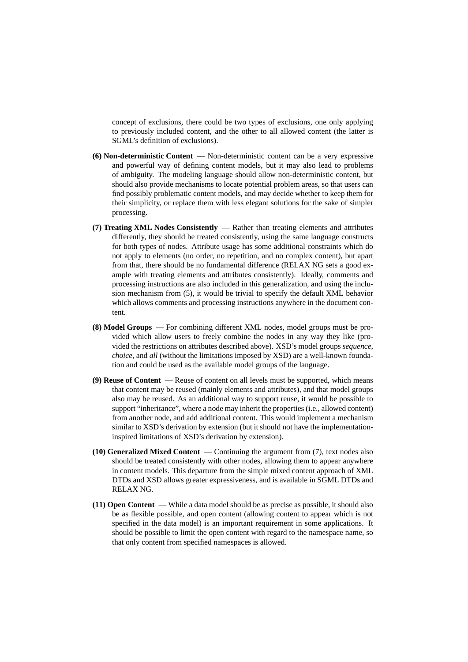concept of exclusions, there could be two types of exclusions, one only applying to previously included content, and the other to all allowed content (the latter is SGML's definition of exclusions).

- **(6) Non-deterministic Content** Non-deterministic content can be a very expressive and powerful way of defining content models, but it may also lead to problems of ambiguity. The modeling language should allow non-deterministic content, but should also provide mechanisms to locate potential problem areas, so that users can find possibly problematic content models, and may decide whether to keep them for their simplicity, or replace them with less elegant solutions for the sake of simpler processing.
- **(7) Treating XML Nodes Consistently** Rather than treating elements and attributes differently, they should be treated consistently, using the same language constructs for both types of nodes. Attribute usage has some additional constraints which do not apply to elements (no order, no repetition, and no complex content), but apart from that, there should be no fundamental difference (RELAX NG sets a good example with treating elements and attributes consistently). Ideally, comments and processing instructions are also included in this generalization, and using the inclusion mechanism from (5), it would be trivial to specify the default XML behavior which allows comments and processing instructions anywhere in the document content.
- **(8) Model Groups** For combining different XML nodes, model groups must be provided which allow users to freely combine the nodes in any way they like (provided the restrictions on attributes described above). XSD's model groups *sequence*, *choice*, and *all* (without the limitations imposed by XSD) are a well-known foundation and could be used as the available model groups of the language.
- **(9) Reuse of Content** Reuse of content on all levels must be supported, which means that content may be reused (mainly elements and attributes), and that model groups also may be reused. As an additional way to support reuse, it would be possible to support "inheritance", where a node may inherit the properties (i.e., allowed content) from another node, and add additional content. This would implement a mechanism similar to XSD's derivation by extension (but it should not have the implementationinspired limitations of XSD's derivation by extension).
- **(10) Generalized Mixed Content** Continuing the argument from (7), text nodes also should be treated consistently with other nodes, allowing them to appear anywhere in content models. This departure from the simple mixed content approach of XML DTDs and XSD allows greater expressiveness, and is available in SGML DTDs and RELAX NG.
- **(11) Open Content** While a data model should be as precise as possible, it should also be as flexible possible, and open content (allowing content to appear which is not specified in the data model) is an important requirement in some applications. It should be possible to limit the open content with regard to the namespace name, so that only content from specified namespaces is allowed.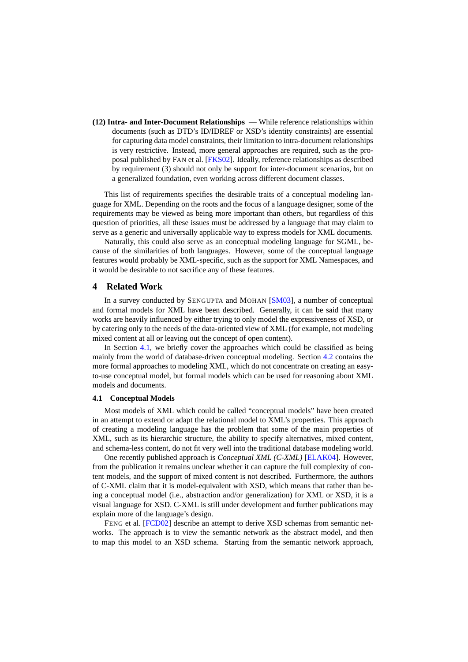<span id="page-7-0"></span>**(12) Intra- and Inter-Document Relationships** — While reference relationships within documents (such as DTD's ID/IDREF or XSD's identity constraints) are essential for capturing data model constraints, their limitation to intra-document relationships is very restrictive. Instead, more general approaches are required, such as the proposal published by FAN et al. [\[FKS02\]](#page-10-0). Ideally, reference relationships as described by requirement (3) should not only be support for inter-document scenarios, but on a generalized foundation, even working across different document classes.

This list of requirements specifies the desirable traits of a conceptual modeling language for XML. Depending on the roots and the focus of a language designer, some of the requirements may be viewed as being more important than others, but regardless of this question of priorities, all these issues must be addressed by a language that may claim to serve as a generic and universally applicable way to express models for XML documents.

Naturally, this could also serve as an conceptual modeling language for SGML, because of the similarities of both languages. However, some of the conceptual language features would probably be XML-specific, such as the support for XML Namespaces, and it would be desirable to not sacrifice any of these features.

# **4 Related Work**

In a survey conducted by SENGUPTA and MOHAN [\[SM03\]](#page-11-0), a number of conceptual and formal models for XML have been described. Generally, it can be said that many works are heavily influenced by either trying to only model the expressiveness of XSD, or by catering only to the needs of the data-oriented view of XML (for example, not modeling mixed content at all or leaving out the concept of open content).

In Section 4.1, we briefly cover the approaches which could be classified as being mainly from the world of database-driven conceptual modeling. Section [4.2](#page-9-0) contains the more formal approaches to modeling XML, which do not concentrate on creating an easyto-use conceptual model, but formal models which can be used for reasoning about XML models and documents.

#### **4.1 Conceptual Models**

Most models of XML which could be called "conceptual models" have been created in an attempt to extend or adapt the relational model to XML's properties. This approach of creating a modeling language has the problem that some of the main properties of XML, such as its hierarchic structure, the ability to specify alternatives, mixed content, and schema-less content, do not fit very well into the traditional database modeling world.

One recently published approach is *Conceptual XML (C-XML)* [\[ELAK04\]](#page-10-0). However, from the publication it remains unclear whether it can capture the full complexity of content models, and the support of mixed content is not described. Furthermore, the authors of C-XML claim that it is model-equivalent with XSD, which means that rather than being a conceptual model (i.e., abstraction and/or generalization) for XML or XSD, it is a visual language for XSD. C-XML is still under development and further publications may explain more of the language's design.

FENG et al. [\[FCD02\]](#page-10-0) describe an attempt to derive XSD schemas from semantic networks. The approach is to view the semantic network as the abstract model, and then to map this model to an XSD schema. Starting from the semantic network approach,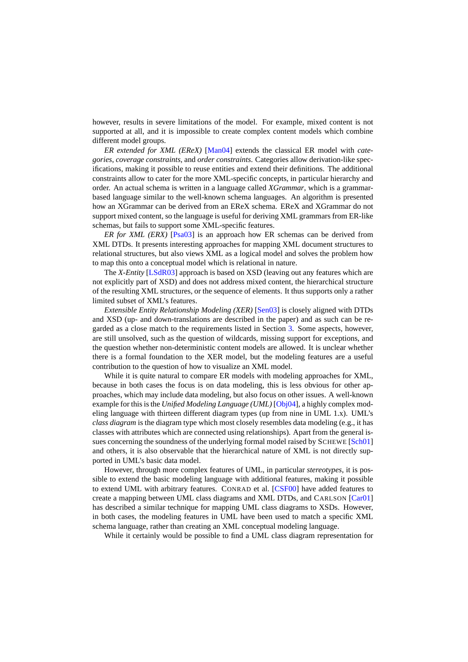however, results in severe limitations of the model. For example, mixed content is not supported at all, and it is impossible to create complex content models which combine different model groups.

*ER extended for XML (EReX)* [\[Man04\]](#page-11-0) extends the classical ER model with *categories*, *coverage constraints*, and *order constraints*. Categories allow derivation-like specifications, making it possible to reuse entities and extend their definitions. The additional constraints allow to cater for the more XML-specific concepts, in particular hierarchy and order. An actual schema is written in a language called *XGrammar*, which is a grammarbased language similar to the well-known schema languages. An algorithm is presented how an XGrammar can be derived from an EReX schema. EReX and XGrammar do not support mixed content, so the language is useful for deriving XML grammars from ER-like schemas, but fails to support some XML-specific features.

*ER for XML (ERX)* [\[Psa03\]](#page-11-0) is an approach how ER schemas can be derived from XML DTDs. It presents interesting approaches for mapping XML document structures to relational structures, but also views XML as a logical model and solves the problem how to map this onto a conceptual model which is relational in nature.

The *X-Entity* [\[LSdR03\]](#page-11-0) approach is based on XSD (leaving out any features which are not explicitly part of XSD) and does not address mixed content, the hierarchical structure of the resulting XML structures, or the sequence of elements. It thus supports only a rather limited subset of XML's features.

*Extensible Entity Relationship Modeling (XER)* [\[Sen03\]](#page-11-0) is closely aligned with DTDs and XSD (up- and down-translations are described in the paper) and as such can be regarded as a close match to the requirements listed in Section [3.](#page-4-0) Some aspects, however, are still unsolved, such as the question of wildcards, missing support for exceptions, and the question whether non-deterministic content models are allowed. It is unclear whether there is a formal foundation to the XER model, but the modeling features are a useful contribution to the question of how to visualize an XML model.

While it is quite natural to compare ER models with modeling approaches for XML, because in both cases the focus is on data modeling, this is less obvious for other approaches, which may include data modeling, but also focus on other issues. A well-known example for this is the *Unified Modeling Language (UML)* [\[Obj04\]](#page-11-0), a highly complex modeling language with thirteen different diagram types (up from nine in UML 1.x). UML's *class diagram* is the diagram type which most closely resembles data modeling (e.g., it has classes with attributes which are connected using relationships). Apart from the general is-sues concerning the soundness of the underlying formal model raised by SCHEWE [\[Sch01\]](#page-11-0) and others, it is also observable that the hierarchical nature of XML is not directly supported in UML's basic data model.

However, through more complex features of UML, in particular *stereotypes*, it is possible to extend the basic modeling language with additional features, making it possible to extend UML with arbitrary features. CONRAD et al. [\[CSF00\]](#page-10-0) have added features to create a mapping between UML class diagrams and XML DTDs, and CARLSON [\[Car01\]](#page-10-0) has described a similar technique for mapping UML class diagrams to XSDs. However, in both cases, the modeling features in UML have been used to match a specific XML schema language, rather than creating an XML conceptual modeling language.

While it certainly would be possible to find a UML class diagram representation for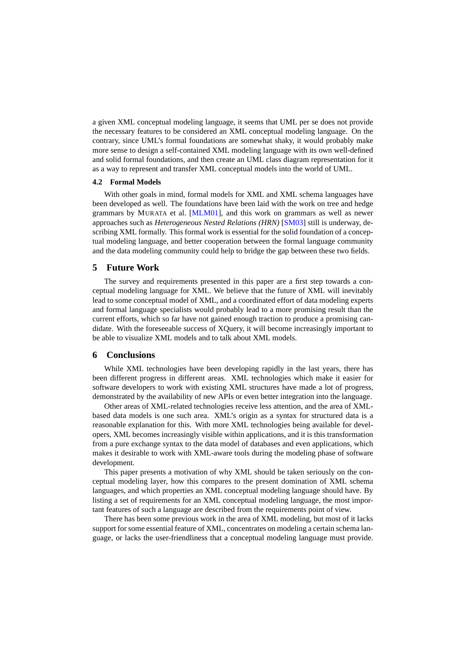<span id="page-9-0"></span>a given XML conceptual modeling language, it seems that UML per se does not provide the necessary features to be considered an XML conceptual modeling language. On the contrary, since UML's formal foundations are somewhat shaky, it would probably make more sense to design a self-contained XML modeling language with its own well-defined and solid formal foundations, and then create an UML class diagram representation for it as a way to represent and transfer XML conceptual models into the world of UML.

#### **4.2 Formal Models**

With other goals in mind, formal models for XML and XML schema languages have been developed as well. The foundations have been laid with the work on tree and hedge grammars by MURATA et al. [\[MLM01\]](#page-11-0), and this work on grammars as well as newer approaches such as *Heterogeneous Nested Relations (HRN)* [\[SM03\]](#page-11-0) still is underway, describing XML formally. This formal work is essential for the solid foundation of a conceptual modeling language, and better cooperation between the formal language community and the data modeling community could help to bridge the gap between these two fields.

# **5 Future Work**

The survey and requirements presented in this paper are a first step towards a conceptual modeling language for XML. We believe that the future of XML will inevitably lead to some conceptual model of XML, and a coordinated effort of data modeling experts and formal language specialists would probably lead to a more promising result than the current efforts, which so far have not gained enough traction to produce a promising candidate. With the foreseeable success of XQuery, it will become increasingly important to be able to visualize XML models and to talk about XML models.

#### **6 Conclusions**

While XML technologies have been developing rapidly in the last years, there has been different progress in different areas. XML technologies which make it easier for software developers to work with existing XML structures have made a lot of progress, demonstrated by the availability of new APIs or even better integration into the language.

Other areas of XML-related technologies receive less attention, and the area of XMLbased data models is one such area. XML's origin as a syntax for structured data is a reasonable explanation for this. With more XML technologies being available for developers, XML becomes increasingly visible within applications, and it is this transformation from a pure exchange syntax to the data model of databases and even applications, which makes it desirable to work with XML-aware tools during the modeling phase of software development.

This paper presents a motivation of why XML should be taken seriously on the conceptual modeling layer, how this compares to the present domination of XML schema languages, and which properties an XML conceptual modeling language should have. By listing a set of requirements for an XML conceptual modeling language, the most important features of such a language are described from the requirements point of view.

There has been some previous work in the area of XML modeling, but most of it lacks support for some essential feature of XML, concentrates on modeling a certain schema language, or lacks the user-friendliness that a conceptual modeling language must provide.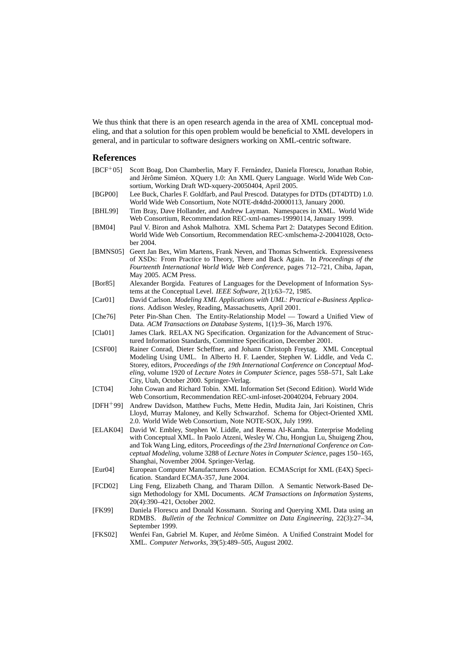<span id="page-10-0"></span>We thus think that there is an open research agenda in the area of XML conceptual modeling, and that a solution for this open problem would be beneficial to XML developers in general, and in particular to software designers working on XML-centric software.

# **References**

| $[BCF^+05]$          | Scott Boag, Don Chamberlin, Mary F. Fernández, Daniela Florescu, Jonathan Robie,<br>and Jérôme Siméon. XQuery 1.0: An XML Query Language. World Wide Web Con-<br>sortium, Working Draft WD-xquery-20050404, April 2005.                                                                                                                                                                   |
|----------------------|-------------------------------------------------------------------------------------------------------------------------------------------------------------------------------------------------------------------------------------------------------------------------------------------------------------------------------------------------------------------------------------------|
| [BGP00]              | Lee Buck, Charles F. Goldfarb, and Paul Prescod. Datatypes for DTDs (DT4DTD) 1.0.<br>World Wide Web Consortium, Note NOTE-dt4dtd-20000113, January 2000.                                                                                                                                                                                                                                  |
| [BHL99]              | Tim Bray, Dave Hollander, and Andrew Layman. Namespaces in XML. World Wide<br>Web Consortium, Recommendation REC-xml-names-19990114, January 1999.                                                                                                                                                                                                                                        |
| [BM04]               | Paul V. Biron and Ashok Malhotra. XML Schema Part 2: Datatypes Second Edition.<br>World Wide Web Consortium, Recommendation REC-xmlschema-2-20041028, Octo-<br>ber 2004.                                                                                                                                                                                                                  |
| [BMNS05]             | Geert Jan Bex, Wim Martens, Frank Neven, and Thomas Schwentick. Expressiveness<br>of XSDs: From Practice to Theory, There and Back Again. In Proceedings of the<br>Fourteenth International World Wide Web Conference, pages 712-721, Chiba, Japan,<br>May 2005. ACM Press.                                                                                                               |
| [Bor85]              | Alexander Borgida. Features of Languages for the Development of Information Sys-<br>tems at the Conceptual Level. IEEE Software, 2(1):63-72, 1985.                                                                                                                                                                                                                                        |
| [Car01]              | David Carlson. Modeling XML Applications with UML: Practical e-Business Applica-<br>tions. Addison Wesley, Reading, Massachusetts, April 2001.                                                                                                                                                                                                                                            |
| [Che76]              | Peter Pin-Shan Chen. The Entity-Relationship Model - Toward a Unified View of<br>Data. ACM Transactions on Database Systems, 1(1):9-36, March 1976.                                                                                                                                                                                                                                       |
| [Cla01]              | James Clark. RELAX NG Specification. Organization for the Advancement of Struc-<br>tured Information Standards, Committee Specification, December 2001.                                                                                                                                                                                                                                   |
| [CSP00]              | Rainer Conrad, Dieter Scheffner, and Johann Christoph Freytag. XML Conceptual<br>Modeling Using UML. In Alberto H. F. Laender, Stephen W. Liddle, and Veda C.<br>Storey, editors, Proceedings of the 19th International Conference on Conceptual Mod-<br>eling, volume 1920 of Lecture Notes in Computer Science, pages 558-571, Salt Lake<br>City, Utah, October 2000. Springer-Verlag.  |
| [CT04]               | John Cowan and Richard Tobin. XML Information Set (Second Edition). World Wide<br>Web Consortium, Recommendation REC-xml-infoset-20040204, February 2004.                                                                                                                                                                                                                                 |
| $[DFH^+99]$          | Andrew Davidson, Matthew Fuchs, Mette Hedin, Mudita Jain, Jari Koistinen, Chris<br>Lloyd, Murray Maloney, and Kelly Schwarzhof. Schema for Object-Oriented XML<br>2.0. World Wide Web Consortium, Note NOTE-SOX, July 1999.                                                                                                                                                               |
| [ELAK04]             | David W. Embley, Stephen W. Liddle, and Reema Al-Kamha. Enterprise Modeling<br>with Conceptual XML. In Paolo Atzeni, Wesley W. Chu, Hongjun Lu, Shuigeng Zhou,<br>and Tok Wang Ling, editors, Proceedings of the 23rd International Conference on Con-<br>ceptual Modeling, volume 3288 of Lecture Notes in Computer Science, pages 150-165,<br>Shanghai, November 2004. Springer-Verlag. |
| [Eu <sub>1</sub> 04] | European Computer Manufacturers Association. ECMAScript for XML (E4X) Speci-<br>fication. Standard ECMA-357, June 2004.                                                                                                                                                                                                                                                                   |
| [FCD02]              | Ling Feng, Elizabeth Chang, and Tharam Dillon. A Semantic Network-Based De-<br>sign Methodology for XML Documents. ACM Transactions on Information Systems,<br>20(4):390–421, October 2002.                                                                                                                                                                                               |
| [FK99]               | Daniela Florescu and Donald Kossmann. Storing and Querying XML Data using an<br>RDMBS. Bulletin of the Technical Committee on Data Engineering, 22(3):27-34,<br>September 1999.                                                                                                                                                                                                           |
| [FKS02]              | Wenfei Fan, Gabriel M. Kuper, and Jérôme Siméon. A Unified Constraint Model for<br>XML. Computer Networks, 39(5):489-505, August 2002.                                                                                                                                                                                                                                                    |